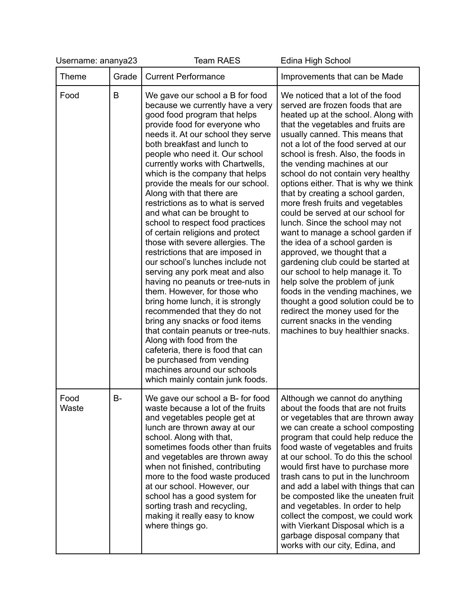| Username: ananya23 |           | <b>Team RAES</b>                                                                                                                                                                                                                                                                                                                                                                                                                                                                                                                                                                                                                                                                                                                                                                                                                                                                                                                                                                                                                                                | Edina High School                                                                                                                                                                                                                                                                                                                                                                                                                                                                                                                                                                                                                                                                                                                                                                                                                                                                                                                        |
|--------------------|-----------|-----------------------------------------------------------------------------------------------------------------------------------------------------------------------------------------------------------------------------------------------------------------------------------------------------------------------------------------------------------------------------------------------------------------------------------------------------------------------------------------------------------------------------------------------------------------------------------------------------------------------------------------------------------------------------------------------------------------------------------------------------------------------------------------------------------------------------------------------------------------------------------------------------------------------------------------------------------------------------------------------------------------------------------------------------------------|------------------------------------------------------------------------------------------------------------------------------------------------------------------------------------------------------------------------------------------------------------------------------------------------------------------------------------------------------------------------------------------------------------------------------------------------------------------------------------------------------------------------------------------------------------------------------------------------------------------------------------------------------------------------------------------------------------------------------------------------------------------------------------------------------------------------------------------------------------------------------------------------------------------------------------------|
| <b>Theme</b>       | Grade     | <b>Current Performance</b>                                                                                                                                                                                                                                                                                                                                                                                                                                                                                                                                                                                                                                                                                                                                                                                                                                                                                                                                                                                                                                      | Improvements that can be Made                                                                                                                                                                                                                                                                                                                                                                                                                                                                                                                                                                                                                                                                                                                                                                                                                                                                                                            |
| Food               | B         | We gave our school a B for food<br>because we currently have a very<br>good food program that helps<br>provide food for everyone who<br>needs it. At our school they serve<br>both breakfast and lunch to<br>people who need it. Our school<br>currently works with Chartwells,<br>which is the company that helps<br>provide the meals for our school.<br>Along with that there are<br>restrictions as to what is served<br>and what can be brought to<br>school to respect food practices<br>of certain religions and protect<br>those with severe allergies. The<br>restrictions that are imposed in<br>our school's lunches include not<br>serving any pork meat and also<br>having no peanuts or tree-nuts in<br>them. However, for those who<br>bring home lunch, it is strongly<br>recommended that they do not<br>bring any snacks or food items<br>that contain peanuts or tree-nuts.<br>Along with food from the<br>cafeteria, there is food that can<br>be purchased from vending<br>machines around our schools<br>which mainly contain junk foods. | We noticed that a lot of the food<br>served are frozen foods that are<br>heated up at the school. Along with<br>that the vegetables and fruits are<br>usually canned. This means that<br>not a lot of the food served at our<br>school is fresh. Also, the foods in<br>the vending machines at our<br>school do not contain very healthy<br>options either. That is why we think<br>that by creating a school garden,<br>more fresh fruits and vegetables<br>could be served at our school for<br>lunch. Since the school may not<br>want to manage a school garden if<br>the idea of a school garden is<br>approved, we thought that a<br>gardening club could be started at<br>our school to help manage it. To<br>help solve the problem of junk<br>foods in the vending machines, we<br>thought a good solution could be to<br>redirect the money used for the<br>current snacks in the vending<br>machines to buy healthier snacks. |
| Food<br>Waste      | <b>B-</b> | We gave our school a B- for food<br>waste because a lot of the fruits<br>and vegetables people get at<br>lunch are thrown away at our<br>school. Along with that,<br>sometimes foods other than fruits<br>and vegetables are thrown away<br>when not finished, contributing<br>more to the food waste produced<br>at our school. However, our<br>school has a good system for<br>sorting trash and recycling,<br>making it really easy to know<br>where things go.                                                                                                                                                                                                                                                                                                                                                                                                                                                                                                                                                                                              | Although we cannot do anything<br>about the foods that are not fruits<br>or vegetables that are thrown away<br>we can create a school composting<br>program that could help reduce the<br>food waste of vegetables and fruits<br>at our school. To do this the school<br>would first have to purchase more<br>trash cans to put in the lunchroom<br>and add a label with things that can<br>be composted like the uneaten fruit<br>and vegetables. In order to help<br>collect the compost, we could work<br>with Vierkant Disposal which is a<br>garbage disposal company that<br>works with our city, Edina, and                                                                                                                                                                                                                                                                                                                       |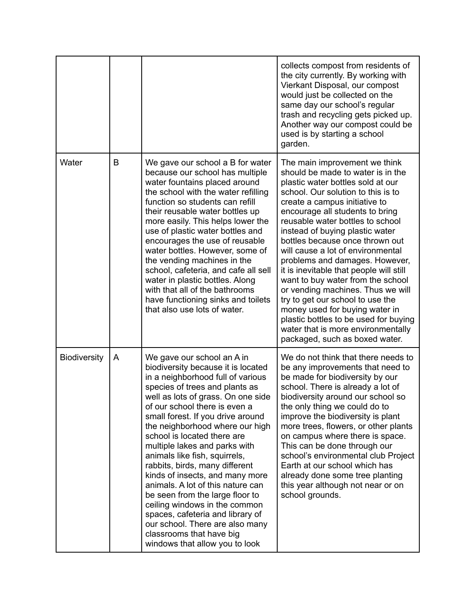|                     |   |                                                                                                                                                                                                                                                                                                                                                                                                                                                                                                                                                                                                                                                                                                            | collects compost from residents of<br>the city currently. By working with<br>Vierkant Disposal, our compost<br>would just be collected on the<br>same day our school's regular<br>trash and recycling gets picked up.<br>Another way our compost could be<br>used is by starting a school<br>garden.                                                                                                                                                                                                                                                                                                                                                                                                           |
|---------------------|---|------------------------------------------------------------------------------------------------------------------------------------------------------------------------------------------------------------------------------------------------------------------------------------------------------------------------------------------------------------------------------------------------------------------------------------------------------------------------------------------------------------------------------------------------------------------------------------------------------------------------------------------------------------------------------------------------------------|----------------------------------------------------------------------------------------------------------------------------------------------------------------------------------------------------------------------------------------------------------------------------------------------------------------------------------------------------------------------------------------------------------------------------------------------------------------------------------------------------------------------------------------------------------------------------------------------------------------------------------------------------------------------------------------------------------------|
| Water               | B | We gave our school a B for water<br>because our school has multiple<br>water fountains placed around<br>the school with the water refilling<br>function so students can refill<br>their reusable water bottles up<br>more easily. This helps lower the<br>use of plastic water bottles and<br>encourages the use of reusable<br>water bottles. However, some of<br>the vending machines in the<br>school, cafeteria, and cafe all sell<br>water in plastic bottles. Along<br>with that all of the bathrooms<br>have functioning sinks and toilets<br>that also use lots of water.                                                                                                                          | The main improvement we think<br>should be made to water is in the<br>plastic water bottles sold at our<br>school. Our solution to this is to<br>create a campus initiative to<br>encourage all students to bring<br>reusable water bottles to school<br>instead of buying plastic water<br>bottles because once thrown out<br>will cause a lot of environmental<br>problems and damages. However,<br>it is inevitable that people will still<br>want to buy water from the school<br>or vending machines. Thus we will<br>try to get our school to use the<br>money used for buying water in<br>plastic bottles to be used for buying<br>water that is more environmentally<br>packaged, such as boxed water. |
| <b>Biodiversity</b> | A | We gave our school an A in<br>biodiversity because it is located<br>in a neighborhood full of various<br>species of trees and plants as<br>well as lots of grass. On one side<br>of our school there is even a<br>small forest. If you drive around<br>the neighborhood where our high<br>school is located there are<br>multiple lakes and parks with<br>animals like fish, squirrels,<br>rabbits, birds, many different<br>kinds of insects, and many more<br>animals. A lot of this nature can<br>be seen from the large floor to<br>ceiling windows in the common<br>spaces, cafeteria and library of<br>our school. There are also many<br>classrooms that have big<br>windows that allow you to look | We do not think that there needs to<br>be any improvements that need to<br>be made for biodiversity by our<br>school. There is already a lot of<br>biodiversity around our school so<br>the only thing we could do to<br>improve the biodiversity is plant<br>more trees, flowers, or other plants<br>on campus where there is space.<br>This can be done through our<br>school's environmental club Project<br>Earth at our school which has<br>already done some tree planting<br>this year although not near or on<br>school grounds.                                                                                                                                                                       |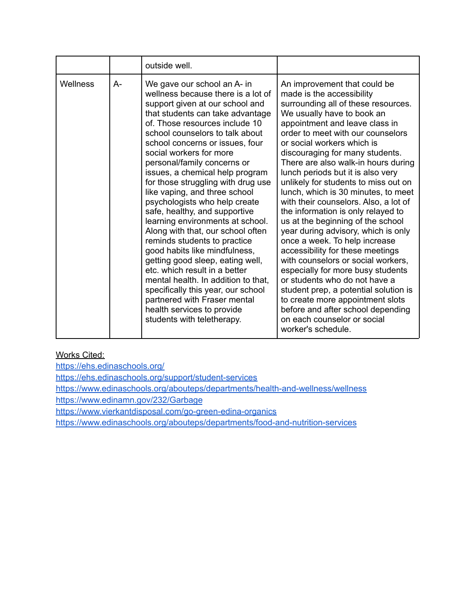|                 |    | outside well.                                                                                                                                                                                                                                                                                                                                                                                                                                                                                                                                                                                                                                                                                                                                                                                                                                                                  |                                                                                                                                                                                                                                                                                                                                                                                                                                                                                                                                                                                                                                                                                                                                                                                                                                                                                                                                                      |
|-----------------|----|--------------------------------------------------------------------------------------------------------------------------------------------------------------------------------------------------------------------------------------------------------------------------------------------------------------------------------------------------------------------------------------------------------------------------------------------------------------------------------------------------------------------------------------------------------------------------------------------------------------------------------------------------------------------------------------------------------------------------------------------------------------------------------------------------------------------------------------------------------------------------------|------------------------------------------------------------------------------------------------------------------------------------------------------------------------------------------------------------------------------------------------------------------------------------------------------------------------------------------------------------------------------------------------------------------------------------------------------------------------------------------------------------------------------------------------------------------------------------------------------------------------------------------------------------------------------------------------------------------------------------------------------------------------------------------------------------------------------------------------------------------------------------------------------------------------------------------------------|
| <b>Wellness</b> | A- | We gave our school an A- in<br>wellness because there is a lot of<br>support given at our school and<br>that students can take advantage<br>of. Those resources include 10<br>school counselors to talk about<br>school concerns or issues, four<br>social workers for more<br>personal/family concerns or<br>issues, a chemical help program<br>for those struggling with drug use<br>like vaping, and three school<br>psychologists who help create<br>safe, healthy, and supportive<br>learning environments at school.<br>Along with that, our school often<br>reminds students to practice<br>good habits like mindfulness,<br>getting good sleep, eating well,<br>etc. which result in a better<br>mental health. In addition to that,<br>specifically this year, our school<br>partnered with Fraser mental<br>health services to provide<br>students with teletherapy. | An improvement that could be<br>made is the accessibility<br>surrounding all of these resources.<br>We usually have to book an<br>appointment and leave class in<br>order to meet with our counselors<br>or social workers which is<br>discouraging for many students.<br>There are also walk-in hours during<br>lunch periods but it is also very<br>unlikely for students to miss out on<br>lunch, which is 30 minutes, to meet<br>with their counselors. Also, a lot of<br>the information is only relayed to<br>us at the beginning of the school<br>year during advisory, which is only<br>once a week. To help increase<br>accessibility for these meetings<br>with counselors or social workers,<br>especially for more busy students<br>or students who do not have a<br>student prep, a potential solution is<br>to create more appointment slots<br>before and after school depending<br>on each counselor or social<br>worker's schedule. |

## Works Cited:

<https://ehs.edinaschools.org/> <https://ehs.edinaschools.org/support/student-services> <https://www.edinaschools.org/abouteps/departments/health-and-wellness/wellness> <https://www.edinamn.gov/232/Garbage> <https://www.vierkantdisposal.com/go-green-edina-organics> <https://www.edinaschools.org/abouteps/departments/food-and-nutrition-services>